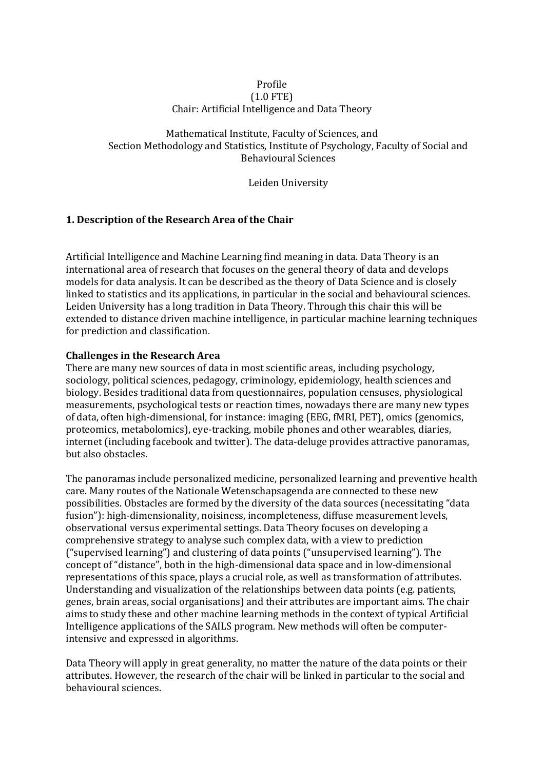#### Profile (1.0 FTE) Chair: Artificial Intelligence and Data Theory

Mathematical Institute, Faculty of Sciences, and Section Methodology and Statistics, Institute of Psychology, Faculty of Social and Behavioural Sciences

Leiden University

# **1. Description of the Research Area of the Chair**

Artificial Intelligence and Machine Learning find meaning in data. Data Theory is an international area of research that focuses on the general theory of data and develops models for data analysis. It can be described as the theory of Data Science and is closely linked to statistics and its applications, in particular in the social and behavioural sciences. Leiden University has a long tradition in Data Theory. Through this chair this will be extended to distance driven machine intelligence, in particular machine learning techniques for prediction and classification.

### **Challenges in the Research Area**

There are many new sources of data in most scientific areas, including psychology, sociology, political sciences, pedagogy, criminology, epidemiology, health sciences and biology. Besides traditional data from questionnaires, population censuses, physiological measurements, psychological tests or reaction times, nowadays there are many new types of data, often high-dimensional, for instance: imaging (EEG, fMRI, PET), omics (genomics, proteomics, metabolomics), eye-tracking, mobile phones and other wearables, diaries, internet (including facebook and twitter). The data-deluge provides attractive panoramas, but also obstacles.

The panoramas include personalized medicine, personalized learning and preventive health care. Many routes of the Nationale Wetenschapsagenda are connected to these new possibilities. Obstacles are formed by the diversity of the data sources (necessitating "data fusion"): high-dimensionality, noisiness, incompleteness, diffuse measurement levels, observational versus experimental settings. Data Theory focuses on developing a comprehensive strategy to analyse such complex data, with a view to prediction ("supervised learning") and clustering of data points ("unsupervised learning"). The concept of "distance", both in the high-dimensional data space and in low-dimensional representations of this space, plays a crucial role, as well as transformation of attributes. Understanding and visualization of the relationships between data points (e.g. patients, genes, brain areas, social organisations) and their attributes are important aims. The chair aims to study these and other machine learning methods in the context of typical Artificial Intelligence applications of the SAILS program. New methods will often be computerintensive and expressed in algorithms.

Data Theory will apply in great generality, no matter the nature of the data points or their attributes. However, the research of the chair will be linked in particular to the social and behavioural sciences.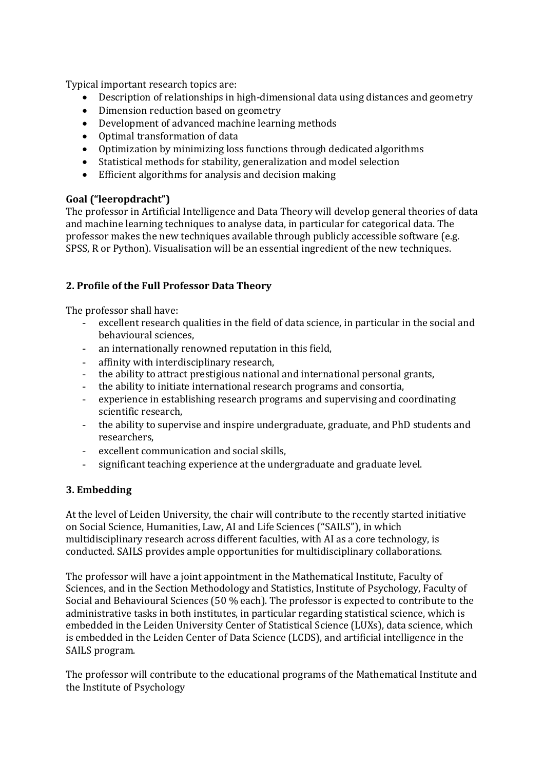Typical important research topics are:

- Description of relationships in high-dimensional data using distances and geometry
- Dimension reduction based on geometry
- Development of advanced machine learning methods
- Optimal transformation of data
- Optimization by minimizing loss functions through dedicated algorithms
- Statistical methods for stability, generalization and model selection
- Efficient algorithms for analysis and decision making

### **Goal ("leeropdracht")**

The professor in Artificial Intelligence and Data Theory will develop general theories of data and machine learning techniques to analyse data, in particular for categorical data. The professor makes the new techniques available through publicly accessible software (e.g. SPSS, R or Python). Visualisation will be an essential ingredient of the new techniques.

# **2. Profile of the Full Professor Data Theory**

The professor shall have:

- excellent research qualities in the field of data science, in particular in the social and behavioural sciences,
- an internationally renowned reputation in this field,
- affinity with interdisciplinary research,
- the ability to attract prestigious national and international personal grants,
- the ability to initiate international research programs and consortia,
- experience in establishing research programs and supervising and coordinating scientific research,
- the ability to supervise and inspire undergraduate, graduate, and PhD students and researchers,
- excellent communication and social skills,
- significant teaching experience at the undergraduate and graduate level.

## **3. Embedding**

At the level of Leiden University, the chair will contribute to the recently started initiative on Social Science, Humanities, Law, AI and Life Sciences ("SAILS"), in which multidisciplinary research across different faculties, with AI as a core technology, is conducted. SAILS provides ample opportunities for multidisciplinary collaborations.

The professor will have a joint appointment in the Mathematical Institute, Faculty of Sciences, and in the Section Methodology and Statistics, Institute of Psychology, Faculty of Social and Behavioural Sciences (50 % each). The professor is expected to contribute to the administrative tasks in both institutes, in particular regarding statistical science, which is embedded in the Leiden University Center of Statistical Science (LUXs), data science, which is embedded in the Leiden Center of Data Science (LCDS), and artificial intelligence in the SAILS program.

The professor will contribute to the educational programs of the Mathematical Institute and the Institute of Psychology